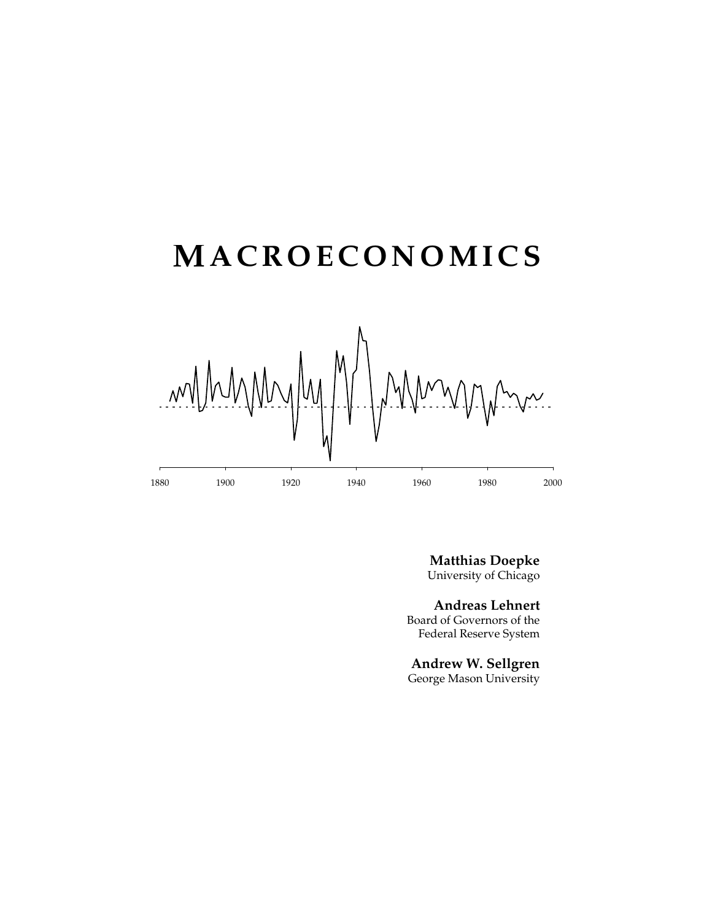# **MACROECONOMICS**



**Matthias Doepke** University of Chicago

**Andreas Lehnert** Board of Governors of the Federal Reserve System

**Andrew W. Sellgren** George Mason University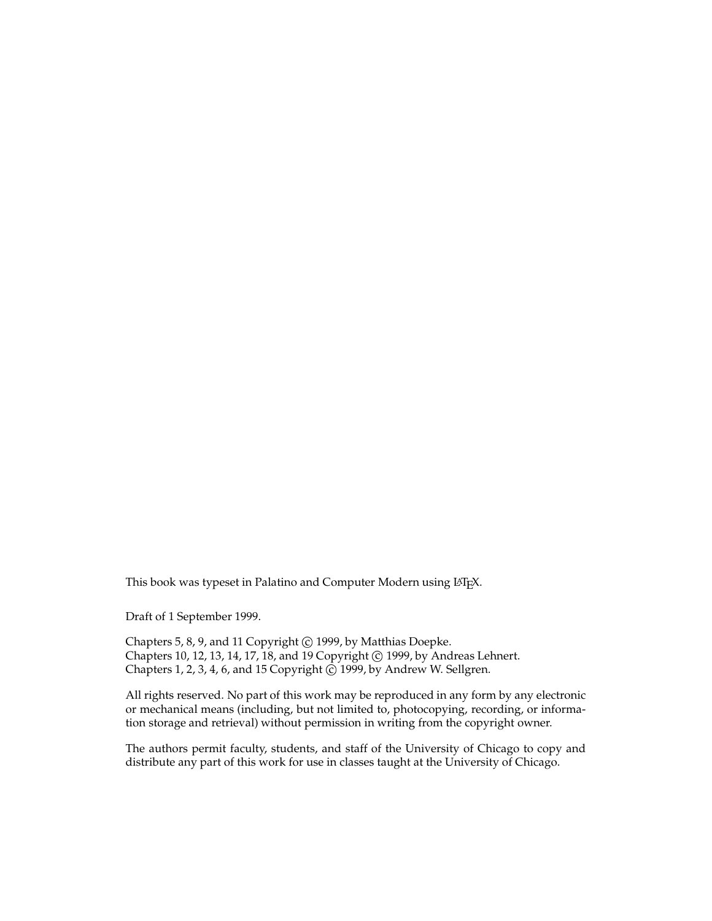This book was typeset in Palatino and Computer Modern using LATEX.

Draft of 1 September 1999.

Chapters 5, 8, 9, and 11 Copyright © 1999, by Matthias Doepke. Chapters 10, 12, 13, 14, 17, 18, and 19 Copyright © 1999, by Andreas Lehnert. Chapters 1, 2, 3, 4, 6, and 15 Copyright © 1999, by Andrew W. Sellgren.

All rights reserved. No part of this work may be reproduced in any form by any electronic or mechanical means (including, but not limited to, photocopying, recording, or information storage and retrieval) without permission in writing from the copyright owner.

The authors permit faculty, students, and staff of the University of Chicago to copy and distribute any part of this work for use in classes taught at the University of Chicago.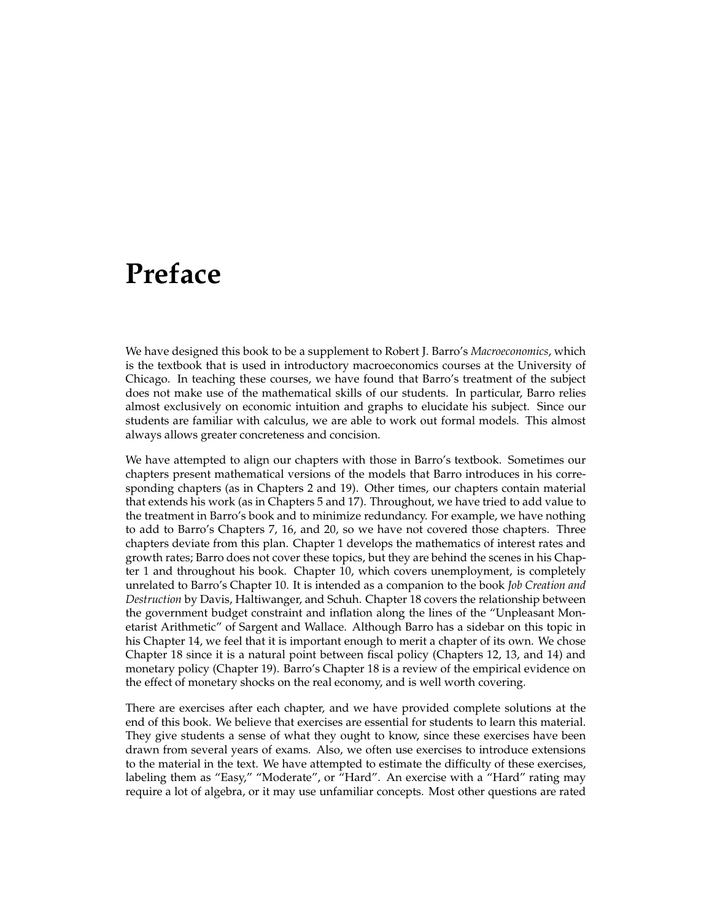## **Preface**

We have designed this book to be a supplement to Robert J. Barro's *Macroeconomics*, which is the textbook that is used in introductory macroeconomics courses at the University of Chicago. In teaching these courses, we have found that Barro's treatment of the subject does not make use of the mathematical skills of our students. In particular, Barro relies almost exclusively on economic intuition and graphs to elucidate his subject. Since our students are familiar with calculus, we are able to work out formal models. This almost always allows greater concreteness and concision.

We have attempted to align our chapters with those in Barro's textbook. Sometimes our chapters present mathematical versions of the models that Barro introduces in his corresponding chapters (as in Chapters 2 and 19). Other times, our chapters contain material that extends his work (as in Chapters 5 and 17). Throughout, we have tried to add value to the treatment in Barro's book and to minimize redundancy. For example, we have nothing to add to Barro's Chapters 7, 16, and 20, so we have not covered those chapters. Three chapters deviate from this plan. Chapter 1 develops the mathematics of interest rates and growth rates; Barro does not cover these topics, but they are behind the scenes in his Chapter 1 and throughout his book. Chapter 10, which covers unemployment, is completely unrelated to Barro's Chapter 10. It is intended as a companion to the book *Job Creation and Destruction* by Davis, Haltiwanger, and Schuh. Chapter 18 covers the relationship between the government budget constraint and inflation along the lines of the "Unpleasant Monetarist Arithmetic" of Sargent and Wallace. Although Barro has a sidebar on this topic in his Chapter 14, we feel that it is important enough to merit a chapter of its own. We chose Chapter 18 since it is a natural point between fiscal policy (Chapters 12, 13, and 14) and monetary policy (Chapter 19). Barro's Chapter 18 is a review of the empirical evidence on the effect of monetary shocks on the real economy, and is well worth covering.

There are exercises after each chapter, and we have provided complete solutions at the end of this book. We believe that exercises are essential for students to learn this material. They give students a sense of what they ought to know, since these exercises have been drawn from several years of exams. Also, we often use exercises to introduce extensions to the material in the text. We have attempted to estimate the difficulty of these exercises, labeling them as "Easy," "Moderate", or "Hard". An exercise with a "Hard" rating may require a lot of algebra, or it may use unfamiliar concepts. Most other questions are rated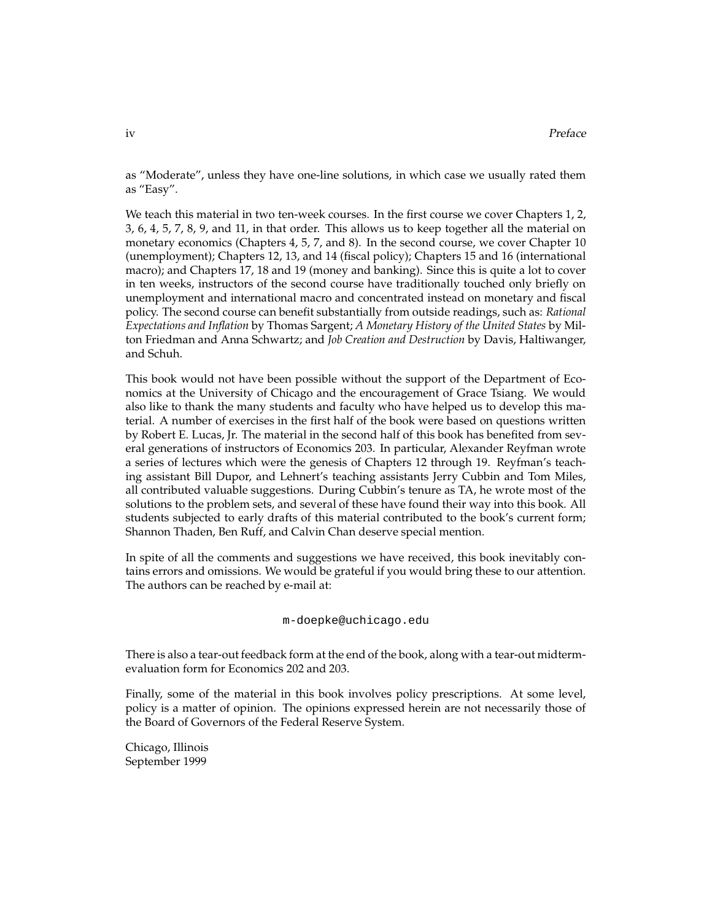as "Moderate", unless they have one-line solutions, in which case we usually rated them as "Easy".

We teach this material in two ten-week courses. In the first course we cover Chapters 1, 2, 3, 6, 4, 5, 7, 8, 9, and 11, in that order. This allows us to keep together all the material on monetary economics (Chapters 4, 5, 7, and 8). In the second course, we cover Chapter 10 (unemployment); Chapters 12, 13, and 14 (fiscal policy); Chapters 15 and 16 (international macro); and Chapters 17, 18 and 19 (money and banking). Since this is quite a lot to cover in ten weeks, instructors of the second course have traditionally touched only briefly on unemployment and international macro and concentrated instead on monetary and fiscal policy. The second course can benefit substantially from outside readings, such as: *Rational Expectations and Inflation* by Thomas Sargent; *A Monetary History of the United States* by Milton Friedman and Anna Schwartz; and *Job Creation and Destruction* by Davis, Haltiwanger, and Schuh.

This book would not have been possible without the support of the Department of Economics at the University of Chicago and the encouragement of Grace Tsiang. We would also like to thank the many students and faculty who have helped us to develop this material. A number of exercises in the first half of the book were based on questions written by Robert E. Lucas, Jr. The material in the second half of this book has benefited from several generations of instructors of Economics 203. In particular, Alexander Reyfman wrote a series of lectures which were the genesis of Chapters 12 through 19. Reyfman's teaching assistant Bill Dupor, and Lehnert's teaching assistants Jerry Cubbin and Tom Miles, all contributed valuable suggestions. During Cubbin's tenure as TA, he wrote most of the solutions to the problem sets, and several of these have found their way into this book. All students subjected to early drafts of this material contributed to the book's current form; Shannon Thaden, Ben Ruff, and Calvin Chan deserve special mention.

In spite of all the comments and suggestions we have received, this book inevitably contains errors and omissions. We would be grateful if you would bring these to our attention. The authors can be reached by e-mail at:

m-doepke@uchicago.edu

There is also a tear-out feedback form at the end of the book, along with a tear-out midtermevaluation form for Economics 202 and 203.

Finally, some of the material in this book involves policy prescriptions. At some level, policy is a matter of opinion. The opinions expressed herein are not necessarily those of the Board of Governors of the Federal Reserve System.

Chicago, Illinois September 1999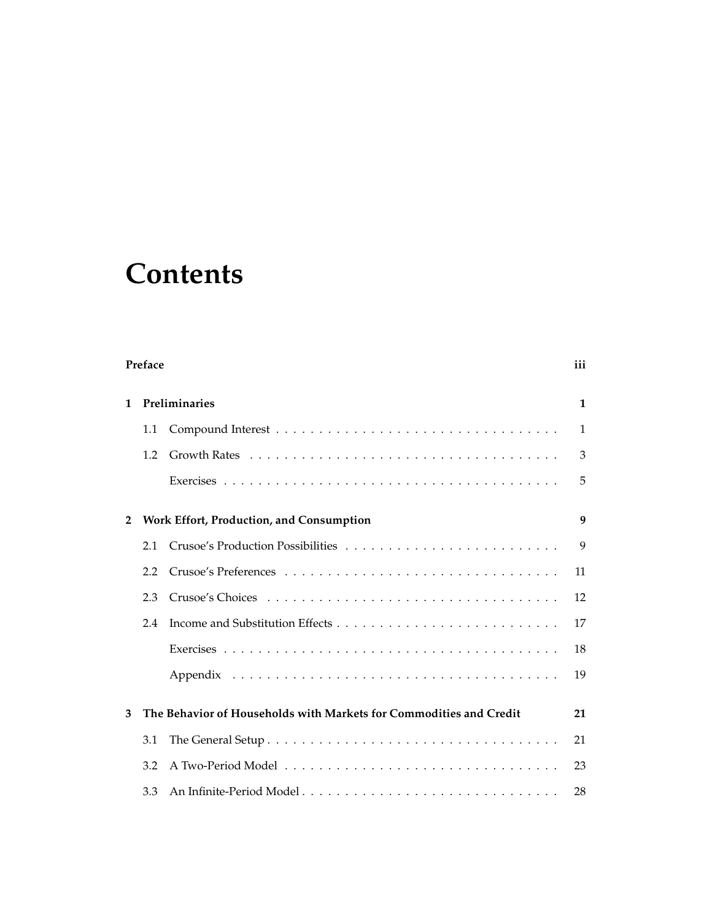# **Contents**

|                | Preface                                  |                                                                                                    |    |  |  |  |
|----------------|------------------------------------------|----------------------------------------------------------------------------------------------------|----|--|--|--|
| 1              | Preliminaries                            |                                                                                                    |    |  |  |  |
|                | 1.1                                      |                                                                                                    | 1  |  |  |  |
|                | 1.2                                      | Growth Rates $\ldots \ldots \ldots \ldots \ldots \ldots \ldots \ldots \ldots \ldots \ldots \ldots$ | 3  |  |  |  |
|                |                                          |                                                                                                    | 5  |  |  |  |
| $\overline{2}$ | Work Effort, Production, and Consumption |                                                                                                    |    |  |  |  |
|                | 2.1                                      |                                                                                                    | 9  |  |  |  |
|                | 2.2                                      |                                                                                                    | 11 |  |  |  |
|                | 2.3                                      |                                                                                                    | 12 |  |  |  |
|                | 2.4                                      |                                                                                                    | 17 |  |  |  |
|                |                                          |                                                                                                    | 18 |  |  |  |
|                |                                          |                                                                                                    | 19 |  |  |  |
| 3              |                                          | The Behavior of Households with Markets for Commodities and Credit                                 | 21 |  |  |  |
|                | 3.1                                      |                                                                                                    | 21 |  |  |  |
|                | 3.2                                      |                                                                                                    | 23 |  |  |  |
|                | 3.3                                      |                                                                                                    | 28 |  |  |  |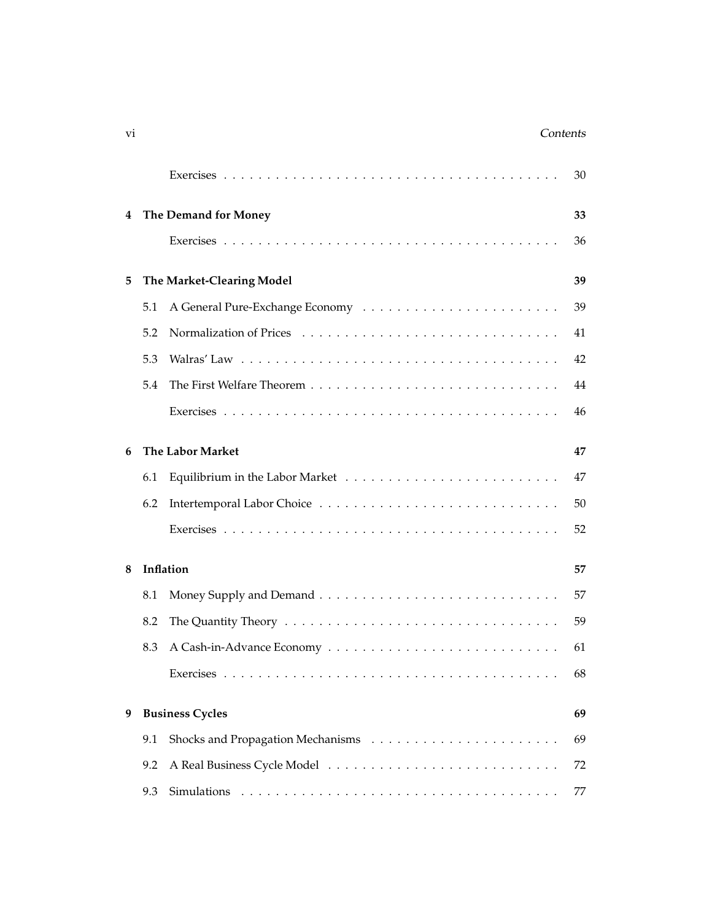### vi contents and the contents of the contents of the contents of the contents of the contents of the contents of the contents of the contents of the contents of the contents of the contents of the contents of the contents o

|   |                           |                         | 30 |  |  |
|---|---------------------------|-------------------------|----|--|--|
| 4 |                           | The Demand for Money    | 33 |  |  |
|   |                           |                         | 36 |  |  |
| 5 | The Market-Clearing Model | 39                      |    |  |  |
|   | 5.1                       |                         | 39 |  |  |
|   |                           |                         |    |  |  |
|   | 5.2                       |                         | 41 |  |  |
|   | 5.3                       |                         | 42 |  |  |
|   | 5.4                       |                         | 44 |  |  |
|   |                           |                         | 46 |  |  |
| 6 |                           | <b>The Labor Market</b> | 47 |  |  |
|   |                           |                         |    |  |  |
|   | 6.1                       |                         | 47 |  |  |
|   | 6.2                       |                         | 50 |  |  |
|   |                           |                         | 52 |  |  |
| 8 | Inflation                 |                         |    |  |  |
|   | 8.1                       |                         | 57 |  |  |
|   | 8.2                       |                         | 59 |  |  |
|   |                           |                         |    |  |  |
|   | 8.3                       |                         | 61 |  |  |
|   |                           |                         | 68 |  |  |
| 9 |                           | <b>Business Cycles</b>  | 69 |  |  |
|   | 9.1                       |                         | 69 |  |  |
|   | 9.2                       |                         | 72 |  |  |
|   | 9.3                       | Simulations             | 77 |  |  |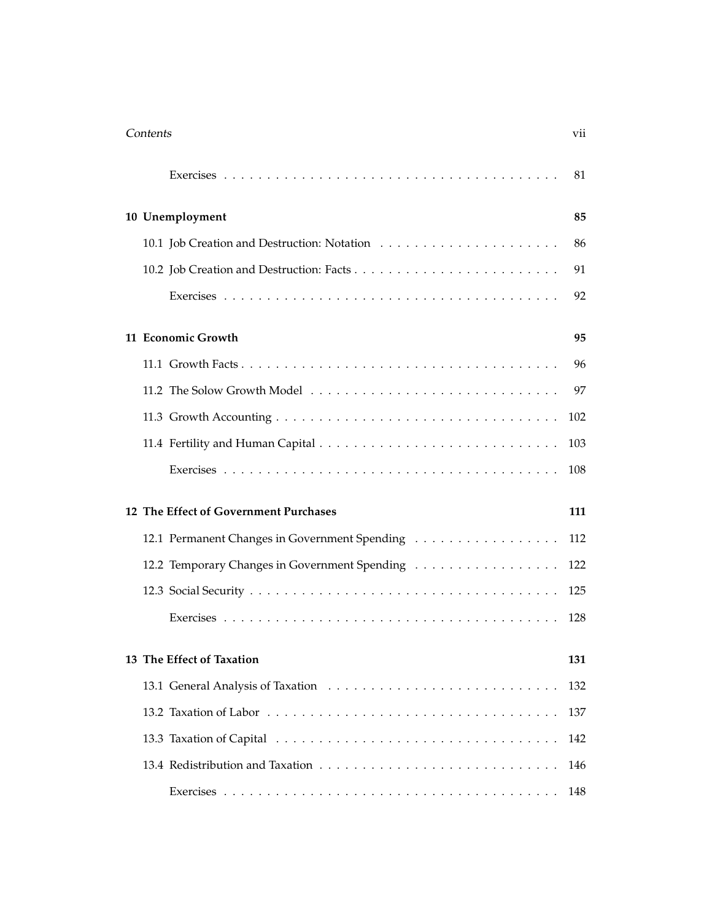| Contents |                                               | vii |
|----------|-----------------------------------------------|-----|
|          |                                               | 81  |
|          | 10 Unemployment                               | 85  |
|          |                                               | 86  |
|          |                                               | 91  |
|          |                                               | 92  |
|          | 11 Economic Growth                            | 95  |
|          |                                               | 96  |
|          |                                               | 97  |
|          |                                               | 102 |
|          |                                               | 103 |
|          |                                               | 108 |
|          | 12 The Effect of Government Purchases         | 111 |
|          | 12.1 Permanent Changes in Government Spending | 112 |
|          | 12.2 Temporary Changes in Government Spending | 122 |
|          |                                               | 125 |
|          |                                               | 128 |
|          | 13 The Effect of Taxation                     | 131 |
|          |                                               | 132 |
|          |                                               | 137 |
|          |                                               | 142 |
|          |                                               | 146 |
|          |                                               | 148 |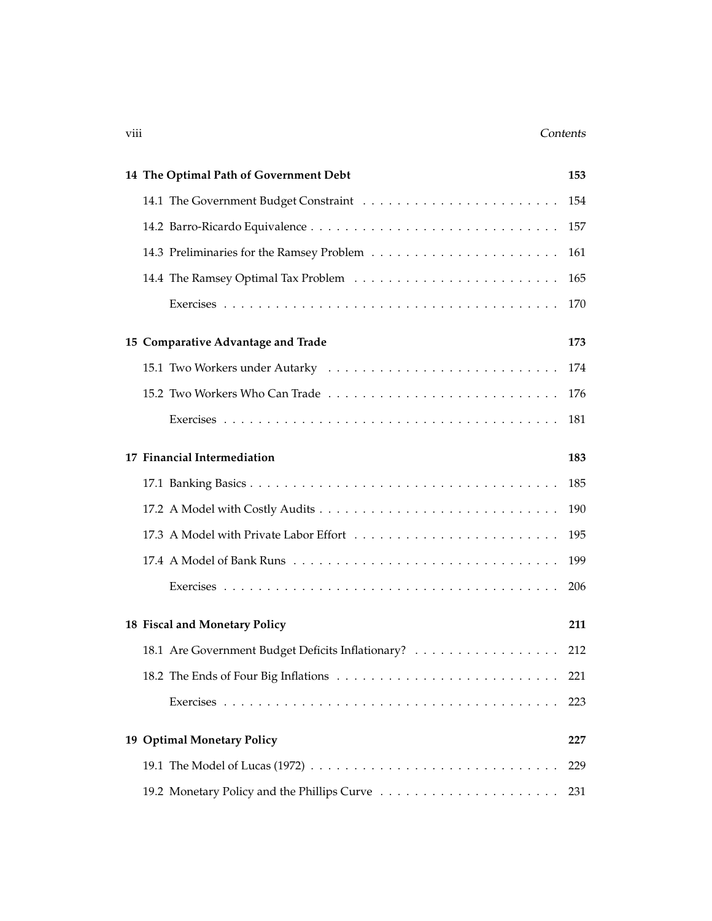### viii Contents Contents Contents Contents Contents Contents Contents Contents Contents Contents Contents Contents

| 14 The Optimal Path of Government Debt            | 153 |
|---------------------------------------------------|-----|
|                                                   | 154 |
|                                                   | 157 |
|                                                   | 161 |
|                                                   | 165 |
|                                                   | 170 |
| 15 Comparative Advantage and Trade                | 173 |
|                                                   | 174 |
|                                                   | 176 |
|                                                   | 181 |
| 17 Financial Intermediation                       | 183 |
|                                                   | 185 |
|                                                   | 190 |
|                                                   | 195 |
|                                                   | 199 |
|                                                   | 206 |
| 18 Fiscal and Monetary Policy                     | 211 |
| 18.1 Are Government Budget Deficits Inflationary? | 212 |
|                                                   |     |
|                                                   | 223 |
| 19 Optimal Monetary Policy                        | 227 |
|                                                   | 229 |
|                                                   | 231 |